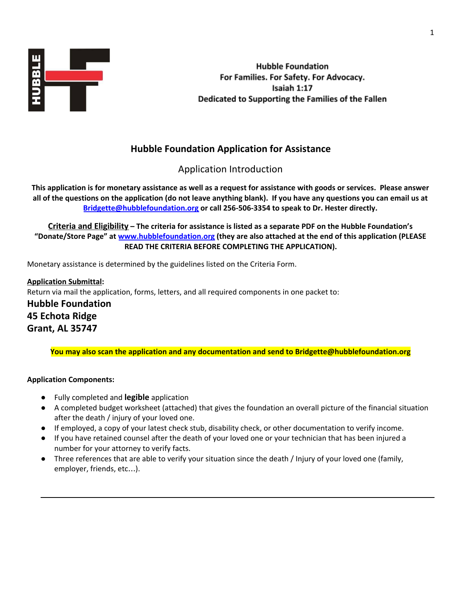

**Hubble Foundation** For Families. For Safety. For Advocacy. Isaiah 1:17 Dedicated to Supporting the Families of the Fallen

# **Hubble Foundation Application for Assistance**

Application Introduction

This application is for monetary assistance as well as a request for assistance with goods or services. Please answer all of the questions on the application (do not leave anything blank). If you have any questions you can email us at **[Bridgette@hubblefoundation.org](mailto:Bridgette@hubblefoundation.org) or call 256-506-3354 to speak to Dr. Hester directly.**

**Criteria and Eligibility – The criteria for assistance is listed as a separate PDF on the Hubble Foundation's "Donate/Store Page" at [www.hubblefoundation.org](http://www.hubblefoundation.org/) (they are also attached at the end of this application (PLEASE READ THE CRITERIA BEFORE COMPLETING THE APPLICATION).**

Monetary assistance is determined by the guidelines listed on the Criteria Form.

**Application Submittal:** Return via mail the application, forms, letters, and all required components in one packet to: **Hubble Foundation 45 Echota Ridge Grant, AL 35747**

**You may also scan the application and any documentation and send to Bridgette@hubblefoundation.org**

#### **Application Components:**

- **●** Fully completed and **legible** application
- **●** A completed budget worksheet (attached) that gives the foundation an overall picture of the financial situation after the death / injury of your loved one.
- **●** If employed, a copy of your latest check stub, disability check, or other documentation to verify income.
- If you have retained counsel after the death of your loved one or your technician that has been injured a number for your attorney to verify facts.
- **●** Three references that are able to verify your situation since the death / Injury of your loved one (family, employer, friends, etc…).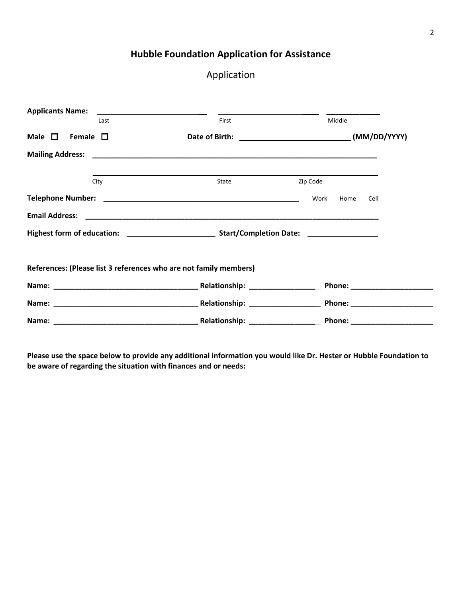## **Hubble Foundation Application for Assistance**

## Application

| <b>Applicants Name:</b>         |      | <u> 1989 - Andrea Andrew Maria (h. 1989).</u>                     |          |        |      |
|---------------------------------|------|-------------------------------------------------------------------|----------|--------|------|
|                                 | Last | First                                                             |          | Middle |      |
| Male $\square$ Female $\square$ |      |                                                                   |          |        |      |
|                                 |      |                                                                   |          |        |      |
|                                 | City | State                                                             | Zip Code |        |      |
|                                 |      |                                                                   | Work     | Home   | Cell |
|                                 |      |                                                                   |          |        |      |
|                                 |      |                                                                   |          |        |      |
|                                 |      | References: (Please list 3 references who are not family members) |          |        |      |
|                                 |      |                                                                   |          |        |      |
|                                 |      |                                                                   |          |        |      |
|                                 |      |                                                                   |          |        |      |

Please use the space below to provide any additional information you would like Dr. Hester or Hubble Foundation to **be aware of regarding the situation with finances and or needs:**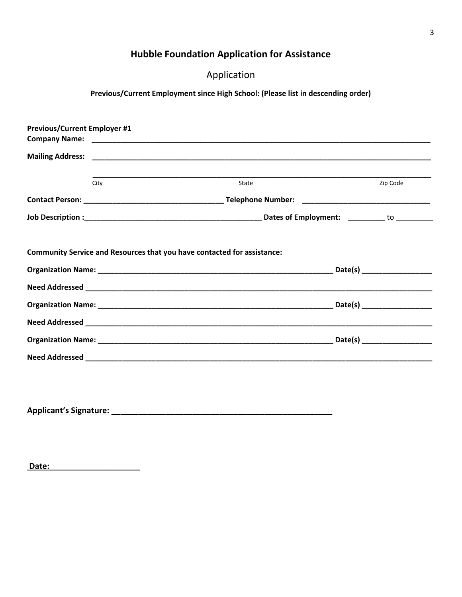# **Hubble Foundation Application for Assistance**

Application

## **Previous/Current Employment since High School: (Please list in descending order)**

| <b>Previous/Current Employer #1</b> |                                                                         |          |
|-------------------------------------|-------------------------------------------------------------------------|----------|
|                                     |                                                                         |          |
|                                     |                                                                         |          |
| City                                | State                                                                   | Zip Code |
|                                     |                                                                         |          |
|                                     |                                                                         |          |
|                                     |                                                                         |          |
|                                     | Community Service and Resources that you have contacted for assistance: |          |
|                                     |                                                                         |          |
|                                     |                                                                         |          |
|                                     |                                                                         |          |
|                                     |                                                                         |          |
|                                     |                                                                         |          |

**Applicant's Signature: \_\_\_\_\_\_\_\_\_\_\_\_\_\_\_\_\_\_\_\_\_\_\_\_\_\_\_\_\_\_\_\_\_\_\_\_\_\_\_\_\_\_\_\_\_\_\_\_\_**

 **Date:\_\_\_\_\_\_\_\_\_\_\_\_\_\_\_\_\_\_\_\_**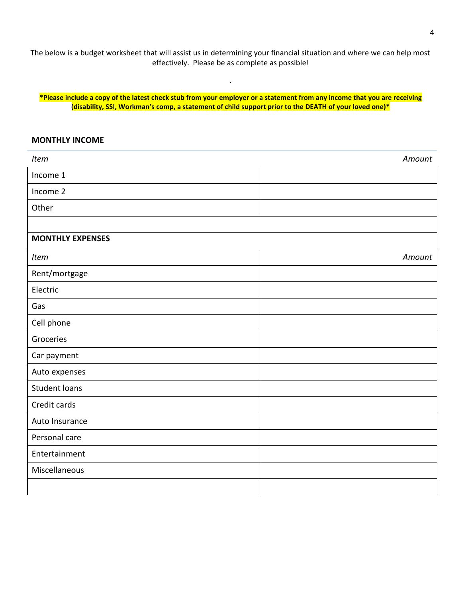The below is a budget worksheet that will assist us in determining your financial situation and where we can help most effectively. Please be as complete as possible!

\*Please include a copy of the latest check stub from your employer or a statement from any income that you are receiving **(disability, SSI, Workman's comp, a statement of child support prior to the DEATH of your loved one)\***

.

#### **MONTHLY INCOME**

| Item                    | Amount |
|-------------------------|--------|
| Income 1                |        |
| Income 2                |        |
| Other                   |        |
|                         |        |
| <b>MONTHLY EXPENSES</b> |        |
| Item                    | Amount |
| Rent/mortgage           |        |
| Electric                |        |
| Gas                     |        |
| Cell phone              |        |
| Groceries               |        |
| Car payment             |        |
| Auto expenses           |        |
| <b>Student loans</b>    |        |
| Credit cards            |        |
| Auto Insurance          |        |
| Personal care           |        |
| Entertainment           |        |
| Miscellaneous           |        |
|                         |        |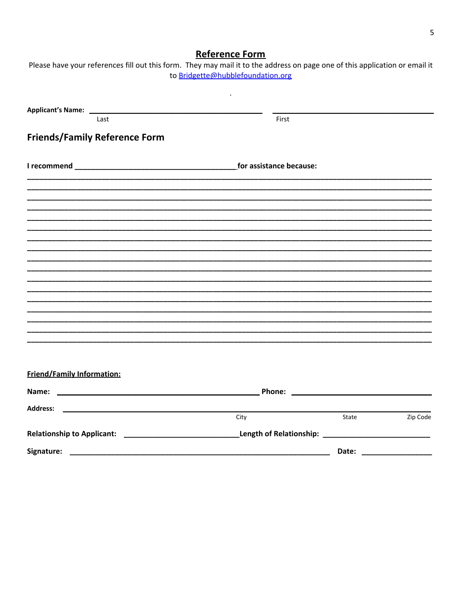5

### Reference Form Please have your references fill out this form. They may mail it to the address on page one of this application or email it

|                                      | to Bridgette@hubblefoundation.org |                                   |          |  |
|--------------------------------------|-----------------------------------|-----------------------------------|----------|--|
|                                      |                                   |                                   |          |  |
| Last                                 | First                             |                                   |          |  |
| <b>Friends/Family Reference Form</b> |                                   |                                   |          |  |
|                                      |                                   |                                   |          |  |
|                                      |                                   |                                   |          |  |
|                                      |                                   |                                   |          |  |
|                                      |                                   |                                   |          |  |
|                                      |                                   |                                   |          |  |
|                                      |                                   |                                   |          |  |
|                                      |                                   |                                   |          |  |
|                                      |                                   |                                   |          |  |
|                                      |                                   |                                   |          |  |
|                                      |                                   |                                   |          |  |
|                                      |                                   |                                   |          |  |
|                                      |                                   |                                   |          |  |
|                                      |                                   |                                   |          |  |
|                                      |                                   |                                   |          |  |
|                                      |                                   |                                   |          |  |
|                                      |                                   |                                   |          |  |
| <b>Friend/Family Information:</b>    |                                   |                                   |          |  |
|                                      |                                   |                                   |          |  |
| Address:                             |                                   |                                   |          |  |
|                                      | City                              | State                             | Zip Code |  |
|                                      |                                   | Length of Relationship: _________ |          |  |
| Signature:                           |                                   | Date:                             |          |  |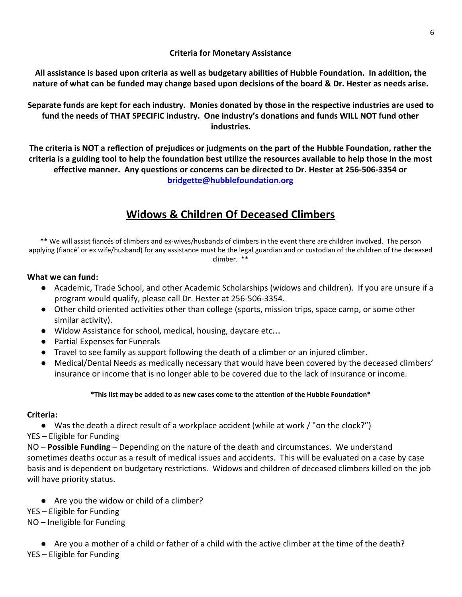#### **Criteria for Monetary Assistance**

**All assistance is based upon criteria as well as budgetary abilities of Hubble Foundation. In addition, the nature of what can be funded may change based upon decisions of the board & Dr. Hester as needs arise.**

**Separate funds are kept for each industry. Monies donated by those in the respective industries are used to fund the needs of THAT SPECIFIC industry. One industry's donations and funds WILL NOT fund other industries.**

**The criteria is NOT a reflection of prejudices or judgments on the part of the Hubble Foundation, rather the criteria is a guiding tool to help the foundation best utilize the resources available to help those in the most effective manner. Any questions or concerns can be directed to Dr. Hester at 256-506-3354 or [bridgette@hubblefoundation.org](mailto:bridgette@hubblefoundation.org)**

# **Widows & Children Of Deceased Climbers**

**\*\*** We will assist fiancés of climbers and ex-wives/husbands of climbers in the event there are children involved. The person applying (fiancé' or ex wife/husband) for any assistance must be the legal guardian and or custodian of the children of the deceased climber. \*\*

#### **What we can fund:**

- Academic, Trade School, and other Academic Scholarships (widows and children). If you are unsure if a program would qualify, please call Dr. Hester at 256-506-3354.
- Other child oriented activities other than college (sports, mission trips, space camp, or some other similar activity).
- Widow Assistance for school, medical, housing, daycare etc...
- Partial Expenses for Funerals
- Travel to see family as support following the death of a climber or an injured climber.
- Medical/Dental Needs as medically necessary that would have been covered by the deceased climbers' insurance or income that is no longer able to be covered due to the lack of insurance or income.

#### **\*This list may be added to as new cases come to the attention of the Hubble Foundation\***

#### **Criteria:**

● Was the death a direct result of a workplace accident (while at work / "on the clock?")

YES – Eligible for Funding

NO – **Possible Funding** – Depending on the nature of the death and circumstances. We understand sometimes deaths occur as a result of medical issues and accidents. This will be evaluated on a case by case basis and is dependent on budgetary restrictions. Widows and children of deceased climbers killed on the job will have priority status.

● Are you the widow or child of a climber?

YES – Eligible for Funding

NO – Ineligible for Funding

● Are you a mother of a child or father of a child with the active climber at the time of the death? YES – Eligible for Funding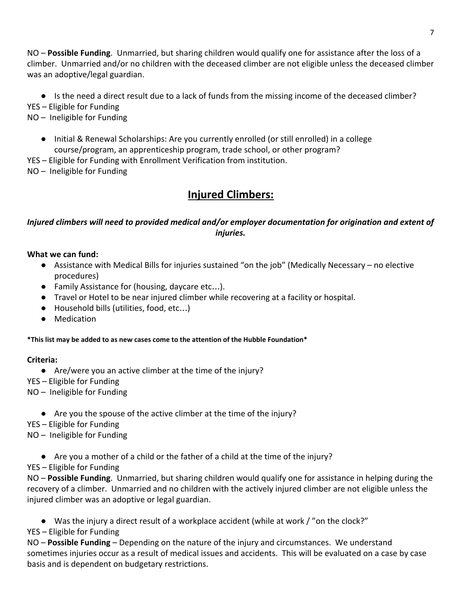NO – **Possible Funding**. Unmarried, but sharing children would qualify one for assistance after the loss of a climber. Unmarried and/or no children with the deceased climber are not eligible unless the deceased climber was an adoptive/legal guardian.

● Is the need a direct result due to a lack of funds from the missing income of the deceased climber?

YES – Eligible for Funding

- NO Ineligible for Funding
	- Initial & Renewal Scholarships: Are you currently enrolled (or still enrolled) in a college course/program, an apprenticeship program, trade school, or other program?
- YES Eligible for Funding with Enrollment Verification from institution.
- NO Ineligible for Funding

# **Injured Climbers:**

### *Injured climbers will need to provided medical and/or employer documentation for origination and extent of injuries.*

#### **What we can fund:**

- Assistance with Medical Bills for injuries sustained "on the job" (Medically Necessary no elective procedures)
- Family Assistance for (housing, daycare etc...).
- Travel or Hotel to be near injured climber while recovering at a facility or hospital.
- Household bills (utilities, food, etc...)
- Medication

#### **\*This list may be added to as new cases come to the attention of the Hubble Foundation\***

#### **Criteria:**

- Are/were you an active climber at the time of the injury?
- YES Eligible for Funding
- NO Ineligible for Funding
	- Are you the spouse of the active climber at the time of the injury?
- YES Eligible for Funding
- NO Ineligible for Funding
	- Are you a mother of a child or the father of a child at the time of the injury?
- YES Eligible for Funding

NO – **Possible Funding**. Unmarried, but sharing children would qualify one for assistance in helping during the recovery of a climber. Unmarried and no children with the actively injured climber are not eligible unless the injured climber was an adoptive or legal guardian.

- Was the injury a direct result of a workplace accident (while at work / "on the clock?"
- YES Eligible for Funding

NO – **Possible Funding** – Depending on the nature of the injury and circumstances. We understand sometimes injuries occur as a result of medical issues and accidents. This will be evaluated on a case by case basis and is dependent on budgetary restrictions.